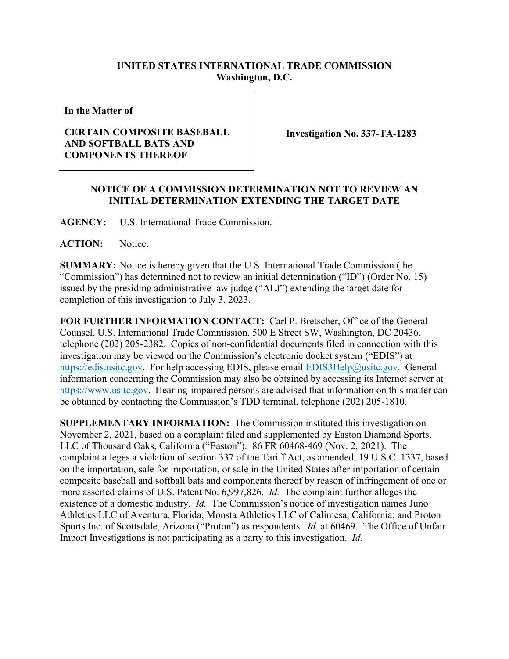## **UNITED STATES INTERNATIONAL TRADE COMMISSION Washington, D.C.**

**In the Matter of**

## **CERTAIN COMPOSITE BASEBALL AND SOFTBALL BATS AND COMPONENTS THEREOF**

**Investigation No. 337-TA-1283**

## **NOTICE OF A COMMISSION DETERMINATION NOT TO REVIEW AN INITIAL DETERMINATION EXTENDING THE TARGET DATE**

**AGENCY:** U.S. International Trade Commission.

**ACTION:** Notice.

**SUMMARY:** Notice is hereby given that the U.S. International Trade Commission (the "Commission") has determined not to review an initial determination ("ID") (Order No. 15) issued by the presiding administrative law judge ("ALJ") extending the target date for completion of this investigation to July 3, 2023.

**FOR FURTHER INFORMATION CONTACT:** Carl P. Bretscher, Office of the General Counsel, U.S. International Trade Commission, 500 E Street SW, Washington, DC 20436, telephone (202) 205-2382. Copies of non-confidential documents filed in connection with this investigation may be viewed on the Commission's electronic docket system ("EDIS") at [https://edis.usitc.gov.](https://edis.usitc.gov/) For help accessing EDIS, please email [EDIS3Help@usitc.gov.](mailto:EDIS3Help@usitc.gov) General information concerning the Commission may also be obtained by accessing its Internet server at [https://www.usitc.gov.](https://www.usitc.gov/) Hearing-impaired persons are advised that information on this matter can be obtained by contacting the Commission's TDD terminal, telephone (202) 205-1810.

**SUPPLEMENTARY INFORMATION:** The Commission instituted this investigation on November 2, 2021, based on a complaint filed and supplemented by Easton Diamond Sports, LLC of Thousand Oaks, California ("Easton"). 86 FR 60468-469 (Nov. 2, 2021). The complaint alleges a violation of section 337 of the Tariff Act, as amended, 19 U.S.C. 1337, based on the importation, sale for importation, or sale in the United States after importation of certain composite baseball and softball bats and components thereof by reason of infringement of one or more asserted claims of U.S. Patent No. 6,997,826. *Id.* The complaint further alleges the existence of a domestic industry. *Id.* The Commission's notice of investigation names Juno Athletics LLC of Aventura, Florida; Monsta Athletics LLC of Calimesa, California; and Proton Sports Inc. of Scottsdale, Arizona ("Proton") as respondents. *Id.* at 60469. The Office of Unfair Import Investigations is not participating as a party to this investigation. *Id.*